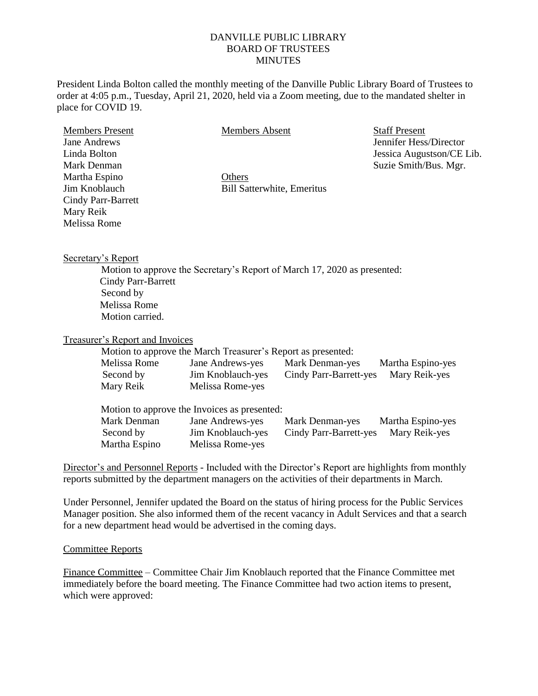## DANVILLE PUBLIC LIBRARY BOARD OF TRUSTEES **MINUTES**

President Linda Bolton called the monthly meeting of the Danville Public Library Board of Trustees to order at 4:05 p.m., Tuesday, April 21, 2020, held via a Zoom meeting, due to the mandated shelter in place for COVID 19.

| <b>Members Present</b>    |
|---------------------------|
| Jane Andrews              |
| Linda Bolton              |
| Mark Denman               |
| Martha Espino             |
| Jim Knoblauch             |
| <b>Cindy Parr-Barrett</b> |
| Mary Reik                 |
| <b>Melissa Rome</b>       |

Members Absent

**Others** Bill Satterwhite, Emeritus Staff Present Jennifer Hess/Director Jessica Augustson/CE Lib. Suzie Smith/Bus. Mgr.

Secretary's Report

Motion to approve the Secretary's Report of March 17, 2020 as presented: Cindy Parr-Barrett Second by Melissa Rome Motion carried.

Treasurer's Report and Invoices

Motion to approve the March Treasurer's Report as presented:

| Melissa Rome | Jane Andrews-yes  | Mark Denman-yes        | Martha Espino-yes |
|--------------|-------------------|------------------------|-------------------|
| Second by    | Jim Knoblauch-yes | Cindy Parr-Barrett-yes | Mary Reik-yes     |
| Mary Reik    | Melissa Rome-yes  |                        |                   |

| Motion to approve the Invoices as presented: |                   |                        |                   |  |
|----------------------------------------------|-------------------|------------------------|-------------------|--|
| Mark Denman                                  | Jane Andrews-yes  | Mark Denman-yes        | Martha Espino-yes |  |
| Second by                                    | Jim Knoblauch-yes | Cindy Parr-Barrett-yes | Mary Reik-yes     |  |
| Martha Espino                                | Melissa Rome-yes  |                        |                   |  |

Director's and Personnel Reports - Included with the Director's Report are highlights from monthly reports submitted by the department managers on the activities of their departments in March.

Under Personnel, Jennifer updated the Board on the status of hiring process for the Public Services Manager position. She also informed them of the recent vacancy in Adult Services and that a search for a new department head would be advertised in the coming days.

## Committee Reports

Finance Committee – Committee Chair Jim Knoblauch reported that the Finance Committee met immediately before the board meeting. The Finance Committee had two action items to present, which were approved: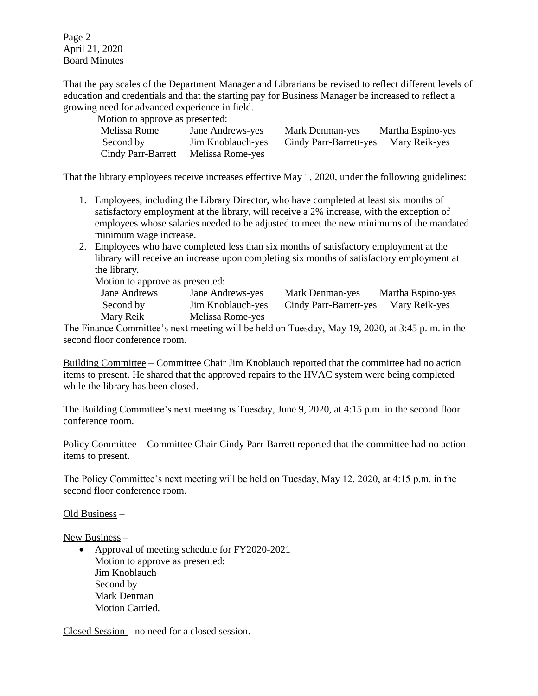Page 2 April 21, 2020 Board Minutes

That the pay scales of the Department Manager and Librarians be revised to reflect different levels of education and credentials and that the starting pay for Business Manager be increased to reflect a growing need for advanced experience in field.

| Motion to approve as presented: |                   |                        |                   |
|---------------------------------|-------------------|------------------------|-------------------|
| Melissa Rome                    | Jane Andrews-yes  | Mark Denman-yes        | Martha Espino-yes |
| Second by                       | Jim Knoblauch-yes | Cindy Parr-Barrett-yes | Mary Reik-yes     |
| Cindy Parr-Barrett              | Melissa Rome-yes  |                        |                   |

That the library employees receive increases effective May 1, 2020, under the following guidelines:

- 1. Employees, including the Library Director, who have completed at least six months of satisfactory employment at the library, will receive a 2% increase, with the exception of employees whose salaries needed to be adjusted to meet the new minimums of the mandated minimum wage increase.
- 2. Employees who have completed less than six months of satisfactory employment at the library will receive an increase upon completing six months of satisfactory employment at the library.

Motion to approve as presented:

| Jane Andrews | Jane Andrews-yes  | Mark Denman-yes        | Martha Espino-yes |
|--------------|-------------------|------------------------|-------------------|
| Second by    | Jim Knoblauch-yes | Cindy Parr-Barrett-yes | Mary Reik-yes     |
| Mary Reik    | Melissa Rome-yes  |                        |                   |

The Finance Committee's next meeting will be held on Tuesday, May 19, 2020, at 3:45 p. m. in the second floor conference room.

Building Committee – Committee Chair Jim Knoblauch reported that the committee had no action items to present. He shared that the approved repairs to the HVAC system were being completed while the library has been closed.

The Building Committee's next meeting is Tuesday, June 9, 2020, at 4:15 p.m. in the second floor conference room.

Policy Committee – Committee Chair Cindy Parr-Barrett reported that the committee had no action items to present.

The Policy Committee's next meeting will be held on Tuesday, May 12, 2020, at 4:15 p.m. in the second floor conference room.

## Old Business –

New Business –

 Approval of meeting schedule for FY2020-2021 Motion to approve as presented: Jim Knoblauch Second by Mark Denman Motion Carried.

Closed Session – no need for a closed session.